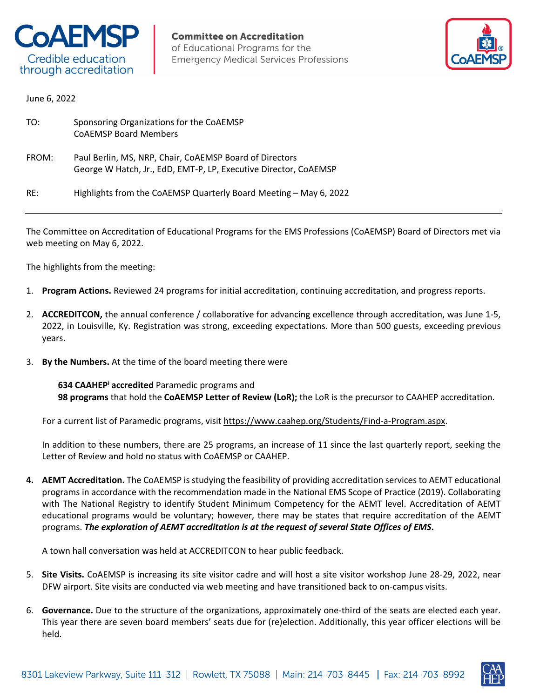



June 6, 2022

| TO:   | Sponsoring Organizations for the CoAEMSP<br><b>COAEMSP Board Members</b>                                                    |
|-------|-----------------------------------------------------------------------------------------------------------------------------|
| FROM: | Paul Berlin, MS, NRP, Chair, CoAEMSP Board of Directors<br>George W Hatch, Jr., EdD, EMT-P, LP, Executive Director, CoAEMSP |
| RE:   | Highlights from the CoAEMSP Quarterly Board Meeting - May 6, 2022                                                           |

The Committee on Accreditation of Educational Programs for the EMS Professions (CoAEMSP) Board of Directors met via web meeting on May 6, 2022.

The highlights from the meeting:

- 1. **Program Actions.** Reviewed 24 programs for initial accreditation, continuing accreditation, and progress reports.
- 2. **ACCREDITCON,** the annual conference / collaborative for advancing excellence through accreditation, was June 1-5, 2022, in Louisville, Ky. Registration was strong, exceeding expectations. More than 500 guests, exceeding previous years.
- 3. **By the Numbers.** At the time of the board meeting there were

**634 CAAHEPi accredited** Paramedic programs and **98 programs** that hold the **CoAEMSP Letter of Review (LoR);** the LoR is the precursor to CAAHEP accreditation.

For a current list of Paramedic programs, visit https://www.caahep.org/Students/Find-a-Program.aspx.

In addition to these numbers, there are 25 programs, an increase of 11 since the last quarterly report, seeking the Letter of Review and hold no status with CoAEMSP or CAAHEP.

**4. AEMT Accreditation.** The CoAEMSP is studying the feasibility of providing accreditation services to AEMT educational programs in accordance with the recommendation made in the National EMS Scope of Practice (2019). Collaborating with The National Registry to identify Student Minimum Competency for the AEMT level. Accreditation of AEMT educational programs would be voluntary; however, there may be states that require accreditation of the AEMT programs. *The exploration of AEMT accreditation is at the request of several State Offices of EMS***.**

A town hall conversation was held at ACCREDITCON to hear public feedback.

- 5. **Site Visits.** CoAEMSP is increasing its site visitor cadre and will host a site visitor workshop June 28-29, 2022, near DFW airport. Site visits are conducted via web meeting and have transitioned back to on-campus visits.
- 6. **Governance.** Due to the structure of the organizations, approximately one-third of the seats are elected each year. This year there are seven board members' seats due for (re)election. Additionally, this year officer elections will be held.

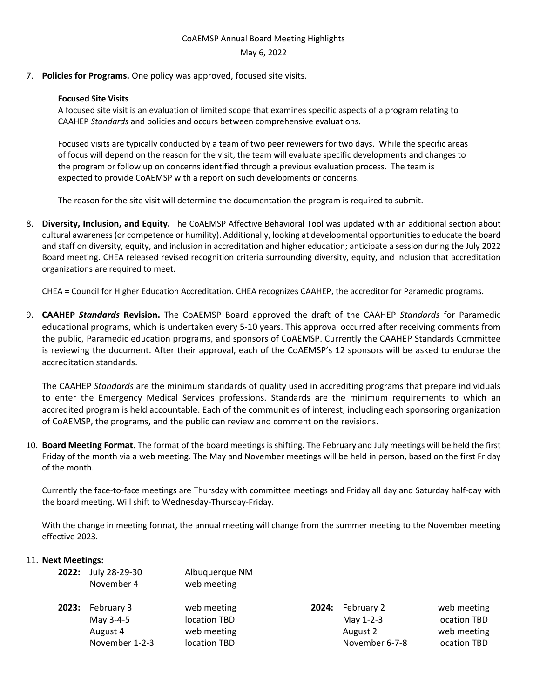7. **Policies for Programs.** One policy was approved, focused site visits.

## **Focused Site Visits**

A focused site visit is an evaluation of limited scope that examines specific aspects of a program relating to CAAHEP *Standards* and policies and occurs between comprehensive evaluations.

Focused visits are typically conducted by a team of two peer reviewers for two days. While the specific areas of focus will depend on the reason for the visit, the team will evaluate specific developments and changes to the program or follow up on concerns identified through a previous evaluation process. The team is expected to provide CoAEMSP with a report on such developments or concerns.

The reason for the site visit will determine the documentation the program is required to submit.

8. **Diversity, Inclusion, and Equity.** The CoAEMSP Affective Behavioral Tool was updated with an additional section about cultural awareness (or competence or humility). Additionally, looking at developmental opportunities to educate the board and staff on diversity, equity, and inclusion in accreditation and higher education; anticipate a session during the July 2022 Board meeting. CHEA released revised recognition criteria surrounding diversity, equity, and inclusion that accreditation organizations are required to meet.

CHEA = Council for Higher Education Accreditation. CHEA recognizes CAAHEP, the accreditor for Paramedic programs.

9. **CAAHEP** *Standards* **Revision.** The CoAEMSP Board approved the draft of the CAAHEP *Standards* for Paramedic educational programs, which is undertaken every 5-10 years. This approval occurred after receiving comments from the public, Paramedic education programs, and sponsors of CoAEMSP. Currently the CAAHEP Standards Committee is reviewing the document. After their approval, each of the CoAEMSP's 12 sponsors will be asked to endorse the accreditation standards.

The CAAHEP *Standards* are the minimum standards of quality used in accrediting programs that prepare individuals to enter the Emergency Medical Services professions. Standards are the minimum requirements to which an accredited program is held accountable. Each of the communities of interest, including each sponsoring organization of CoAEMSP, the programs, and the public can review and comment on the revisions.

10. **Board Meeting Format.** The format of the board meetings is shifting. The February and July meetings will be held the first Friday of the month via a web meeting. The May and November meetings will be held in person, based on the first Friday of the month.

Currently the face-to-face meetings are Thursday with committee meetings and Friday all day and Saturday half-day with the board meeting. Will shift to Wednesday-Thursday-Friday.

With the change in meeting format, the annual meeting will change from the summer meeting to the November meeting effective 2023.

### 11. **Next Meetings:**

**2022:** July 28-29-30 Albuquerque NM

| November 4              | ,<br>web meeting |       |                |              |
|-------------------------|------------------|-------|----------------|--------------|
| <b>2023:</b> February 3 | web meeting      | 2024: | February 2     | web meeting  |
| May 3-4-5               | location TBD     |       | May 1-2-3      | location TBD |
| August 4                | web meeting      |       | August 2       | web meeting  |
| November 1-2-3          | location TBD     |       | November 6-7-8 | location TBD |
|                         |                  |       |                |              |